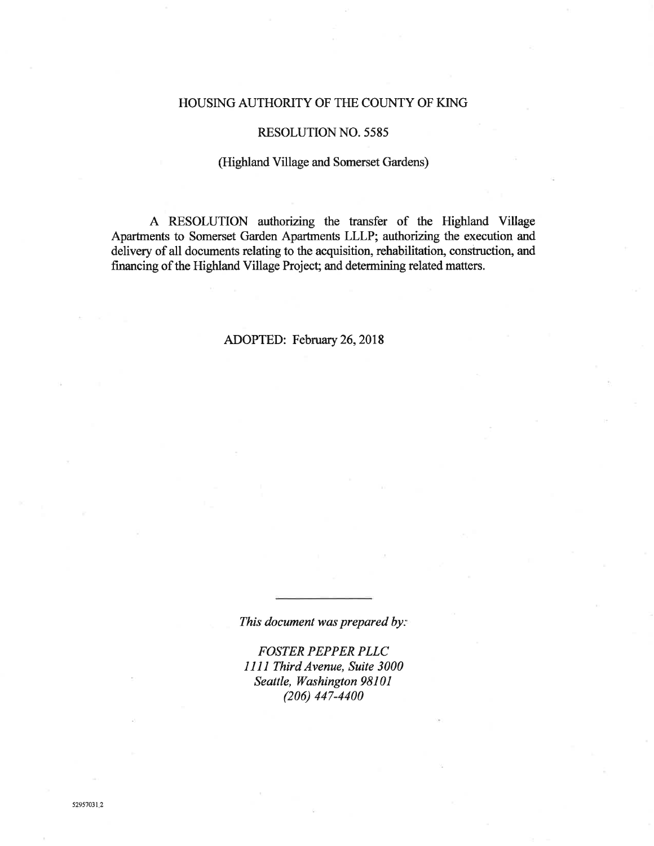### HOUSING AUTHORITY OF THE COUNTY OF KING

### **RESOLUTION NO. 5585**

#### (Highland Village and Somerset Gardens)

A RESOLUTION authorizing the transfer of the Highland Village Apartments to Somerset Garden Apartments LLLP; authorizing the execution and delivery of all documents relating to the acquisition, rehabilitation, construction, and financing of the Highland Village Project; and determining related matters.

### ADOPTED: February 26, 2018

This document was prepared by:

**FOSTER PEPPER PLLC** 1111 Third Avenue, Suite 3000 Seattle, Washington 98101  $(206)$  447-4400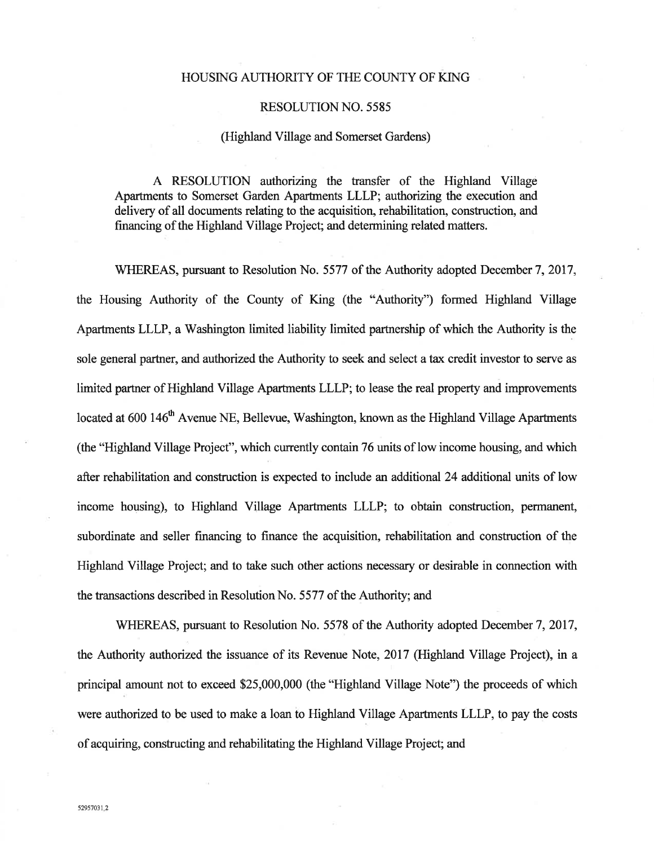### HOUSING AUTHORITY OF THE COUNTY OF KING

### **RESOLUTION NO. 5585**

#### (Highland Village and Somerset Gardens)

A RESOLUTION authorizing the transfer of the Highland Village Apartments to Somerset Garden Apartments LLLP; authorizing the execution and delivery of all documents relating to the acquisition, rehabilitation, construction, and financing of the Highland Village Project; and determining related matters.

WHEREAS, pursuant to Resolution No. 5577 of the Authority adopted December 7, 2017, the Housing Authority of the County of King (the "Authority") formed Highland Village Apartments LLLP, a Washington limited liability limited partnership of which the Authority is the sole general partner, and authorized the Authority to seek and select a tax credit investor to serve as limited partner of Highland Village Apartments LLLP; to lease the real property and improvements located at 600 146<sup>th</sup> Avenue NE, Bellevue, Washington, known as the Highland Village Apartments (the "Highland Village Project", which currently contain 76 units of low income housing, and which after rehabilitation and construction is expected to include an additional 24 additional units of low income housing), to Highland Village Apartments LLLP; to obtain construction, permanent, subordinate and seller financing to finance the acquisition, rehabilitation and construction of the Highland Village Project; and to take such other actions necessary or desirable in connection with the transactions described in Resolution No. 5577 of the Authority; and

WHEREAS, pursuant to Resolution No. 5578 of the Authority adopted December 7, 2017, the Authority authorized the issuance of its Revenue Note, 2017 (Highland Village Project), in a principal amount not to exceed \$25,000,000 (the "Highland Village Note") the proceeds of which were authorized to be used to make a loan to Highland Village Apartments LLLP, to pay the costs of acquiring, constructing and rehabilitating the Highland Village Project; and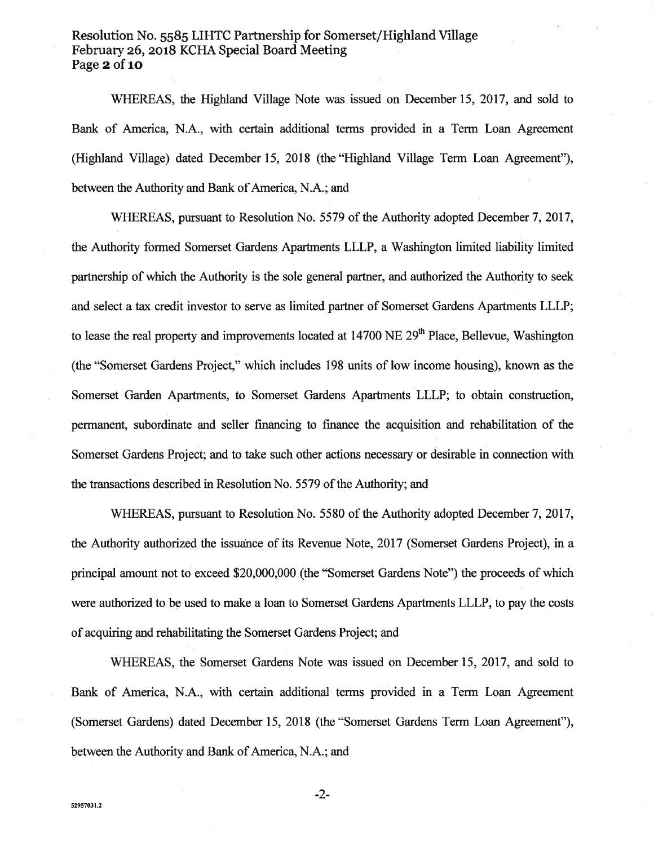# Resolution No. 5585 LIHTC Partnership for Somerset/Highland Village February 26, 2018 KCHA Special Board Meeting Page  $2$  of  $10$

WHEREAS, the Highland Village Note was issued on December 15, 2017, and sold to Bank of America, N.A., with certain additional terms provided in a Term Loan Agreement (Highland Village) dated December 15, 2018 (the "Highland Village Term Loan Agreement"), between the Authority and Bank of America, N.A.; and

WHEREAS, pursuant to Resolution No. 5579 of the Authority adopted December 7, 2017, the Authority formed Somerset Gardens Apartments LLLP, a Washington limited liability limited partnership of which the Authority is the sole general partner, and authorized the Authority to seek and select a tax credit investor to serve as limited partner of Somerset Gardens Apartments LLLP; to lease the real property and improvements located at 14700 NE 29<sup>th</sup> Place, Bellevue, Washington (the "Somerset Gardens Project," which includes 198 units of low income housing), known as the Somerset Garden Apartments, to Somerset Gardens Apartments LLLP; to obtain construction, permanent, subordinate and seller financing to finance the acquisition and rehabilitation of the Somerset Gardens Project; and to take such other actions necessary or desirable in connection with the transactions described in Resolution No. 5579 of the Authority; and

WHEREAS, pursuant to Resolution No. 5580 of the Authority adopted December 7, 2017, the Authority authorized the issuance of its Revenue Note, 2017 (Somerset Gardens Project), in a principal amount not to exceed \$20,000,000 (the "Somerset Gardens Note") the proceeds of which were authorized to be used to make a loan to Somerset Gardens Apartments LLLP, to pay the costs of acquiring and rehabilitating the Somerset Gardens Project; and

WHEREAS, the Somerset Gardens Note was issued on December 15, 2017, and sold to Bank of America, N.A., with certain additional terms provided in a Term Loan Agreement (Somerset Gardens) dated December 15, 2018 (the "Somerset Gardens Term Loan Agreement"), between the Authority and Bank of America, N.A.; and

 $-2-$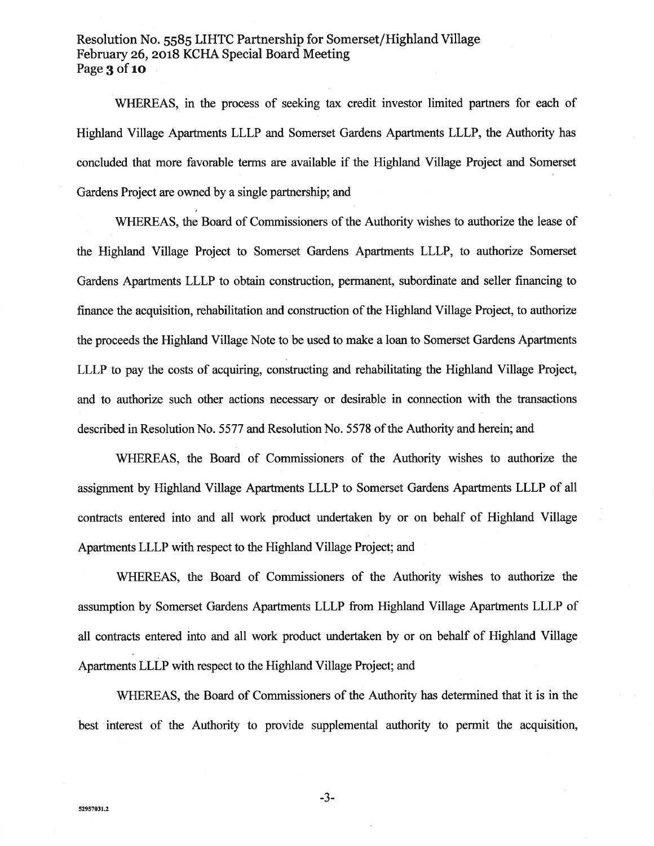# Resolution No. 5585 LIHTC Partnership for Somerset/Highland Village February 26, 2018 KCHA Special Board Meeting Page 3 of 10

WHEREAS, in the process of seeking tax credit investor limited partners for each of Highland Village Apartments LLLP and Somerset Gardens Apartments LLLP, the Authority has concluded that more favorable terms are available if the Highland Village Project and Somerset Gardens Project are owned by a single partnership; and

WHEREAS, the Board of Commissioners of the Authority wishes to authorize the lease of the Highland Village Project to Somerset Gardens Apartments LLLP, to authorize Somerset Gardens Apartments LLLP to obtain construction, permanent, subordinate and seller financing to finance the acquisition, rehabilitation and construction of the Highland Village Project, to authorize the proceeds the Highland Village Note to be used to make a loan to Somerset Gardens Apartments LLLP to pay the costs of acquiring, constructing and rehabilitating the Highland Village Project, and to authorize such other actions necessary or desirable in connection with the transactions described in Resolution No. 5577 and Resolution No. 5578 of the Authority and herein; and

WHEREAS, the Board of Commissioners of the Authority wishes to authorize the assignment by Highland Village Apartments LLLP to Somerset Gardens Apartments LLLP of all contracts entered into and all work product undertaken by or on behalf of Highland Village Apartments LLLP with respect to the Highland Village Project; and

WHEREAS, the Board of Commissioners of the Authority wishes to authorize the assumption by Somerset Gardens Apartments LLLP from Highland Village Apartments LLLP of all contracts entered into and all work product undertaken by or on behalf of Highland Village Apartments LLLP with respect to the Highland Village Project; and

WHEREAS, the Board of Commissioners of the Authority has determined that it is in the best interest of the Authority to provide supplemental authority to permit the acquisition,

 $-3-$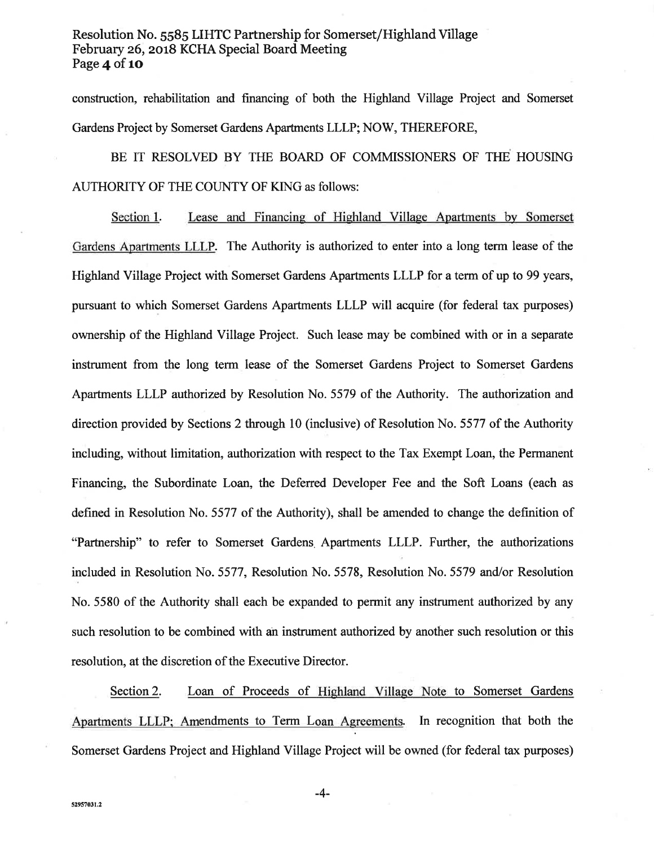# Resolution No. 5585 LIHTC Partnership for Somerset/Highland Village February 26, 2018 KCHA Special Board Meeting Page 4 of 10

construction, rehabilitation and financing of both the Highland Village Project and Somerset Gardens Project by Somerset Gardens Apartments LLLP; NOW, THEREFORE,

BE IT RESOLVED BY THE BOARD OF COMMISSIONERS OF THE HOUSING AUTHORITY OF THE COUNTY OF KING as follows:

Section 1. Lease and Financing of Highland Village Apartments by Somerset Gardens Apartments LLLP. The Authority is authorized to enter into a long term lease of the Highland Village Project with Somerset Gardens Apartments LLLP for a term of up to 99 years, pursuant to which Somerset Gardens Apartments LLLP will acquire (for federal tax purposes) ownership of the Highland Village Project. Such lease may be combined with or in a separate instrument from the long term lease of the Somerset Gardens Project to Somerset Gardens Apartments LLLP authorized by Resolution No. 5579 of the Authority. The authorization and direction provided by Sections 2 through 10 (inclusive) of Resolution No. 5577 of the Authority including, without limitation, authorization with respect to the Tax Exempt Loan, the Permanent Financing, the Subordinate Loan, the Deferred Developer Fee and the Soft Loans (each as defined in Resolution No. 5577 of the Authority), shall be amended to change the definition of "Partnership" to refer to Somerset Gardens Apartments LLLP. Further, the authorizations included in Resolution No. 5577, Resolution No. 5578, Resolution No. 5579 and/or Resolution No. 5580 of the Authority shall each be expanded to permit any instrument authorized by any such resolution to be combined with an instrument authorized by another such resolution or this resolution, at the discretion of the Executive Director.

Loan of Proceeds of Highland Village Note to Somerset Gardens Section 2. Apartments LLLP; Amendments to Term Loan Agreements. In recognition that both the Somerset Gardens Project and Highland Village Project will be owned (for federal tax purposes)

-4-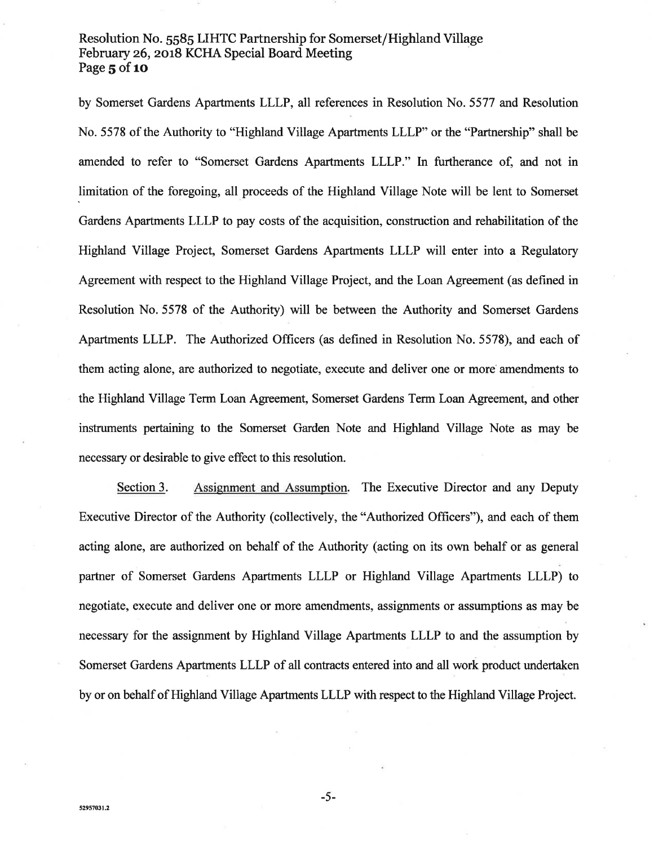### Resolution No. 5585 LIHTC Partnership for Somerset/Highland Village February 26, 2018 KCHA Special Board Meeting Page  $5$  of  $10$

by Somerset Gardens Apartments LLLP, all references in Resolution No. 5577 and Resolution No. 5578 of the Authority to "Highland Village Apartments LLLP" or the "Partnership" shall be amended to refer to "Somerset Gardens Apartments LLLP." In furtherance of, and not in limitation of the foregoing, all proceeds of the Highland Village Note will be lent to Somerset Gardens Apartments LLLP to pay costs of the acquisition, construction and rehabilitation of the Highland Village Project, Somerset Gardens Apartments LLLP will enter into a Regulatory Agreement with respect to the Highland Village Project, and the Loan Agreement (as defined in Resolution No. 5578 of the Authority) will be between the Authority and Somerset Gardens Apartments LLLP. The Authorized Officers (as defined in Resolution No. 5578), and each of them acting alone, are authorized to negotiate, execute and deliver one or more amendments to the Highland Village Term Loan Agreement, Somerset Gardens Term Loan Agreement, and other instruments pertaining to the Somerset Garden Note and Highland Village Note as may be necessary or desirable to give effect to this resolution.

Section 3. Assignment and Assumption. The Executive Director and any Deputy Executive Director of the Authority (collectively, the "Authorized Officers"), and each of them acting alone, are authorized on behalf of the Authority (acting on its own behalf or as general partner of Somerset Gardens Apartments LLLP or Highland Village Apartments LLLP) to negotiate, execute and deliver one or more amendments, assignments or assumptions as may be necessary for the assignment by Highland Village Apartments LLLP to and the assumption by Somerset Gardens Apartments LLLP of all contracts entered into and all work product undertaken by or on behalf of Highland Village Apartments LLLP with respect to the Highland Village Project.

 $-5-$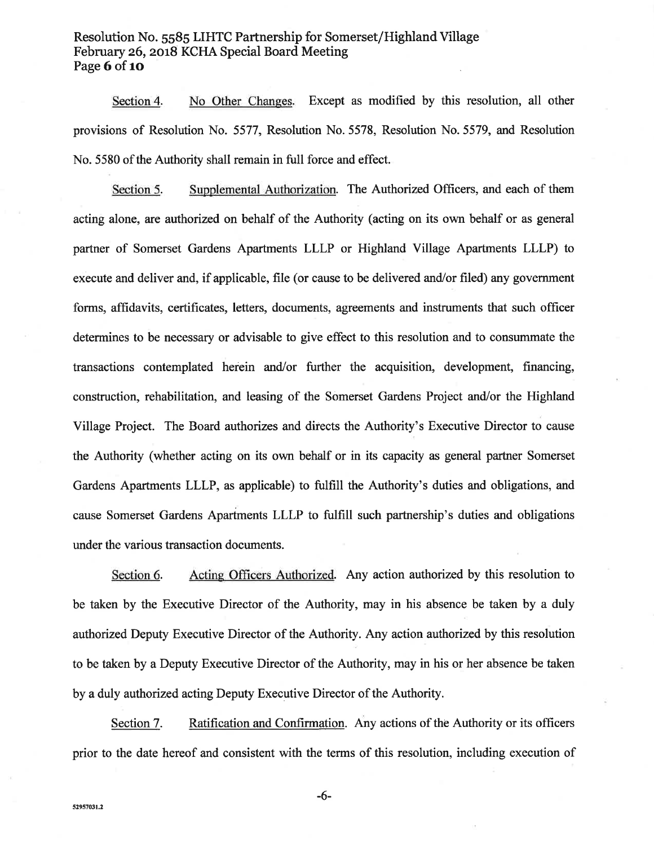## Resolution No. 5585 LIHTC Partnership for Somerset/Highland Village February 26, 2018 KCHA Special Board Meeting Page 6 of 10

Section 4. No Other Changes. Except as modified by this resolution, all other provisions of Resolution No. 5577, Resolution No. 5578, Resolution No. 5579, and Resolution No. 5580 of the Authority shall remain in full force and effect.

Supplemental Authorization. The Authorized Officers, and each of them Section 5. acting alone, are authorized on behalf of the Authority (acting on its own behalf or as general partner of Somerset Gardens Apartments LLLP or Highland Village Apartments LLLP) to execute and deliver and, if applicable, file (or cause to be delivered and/or filed) any government forms, affidavits, certificates, letters, documents, agreements and instruments that such officer determines to be necessary or advisable to give effect to this resolution and to consummate the transactions contemplated herein and/or further the acquisition, development, financing, construction, rehabilitation, and leasing of the Somerset Gardens Project and/or the Highland Village Project. The Board authorizes and directs the Authority's Executive Director to cause the Authority (whether acting on its own behalf or in its capacity as general partner Somerset Gardens Apartments LLLP, as applicable) to fulfill the Authority's duties and obligations, and cause Somerset Gardens Apartments LLLP to fulfill such partnership's duties and obligations under the various transaction documents.

Acting Officers Authorized. Any action authorized by this resolution to Section 6. be taken by the Executive Director of the Authority, may in his absence be taken by a duly authorized Deputy Executive Director of the Authority. Any action authorized by this resolution to be taken by a Deputy Executive Director of the Authority, may in his or her absence be taken by a duly authorized acting Deputy Executive Director of the Authority.

Ratification and Confirmation. Any actions of the Authority or its officers Section 7. prior to the date hereof and consistent with the terms of this resolution, including execution of

 $-6-$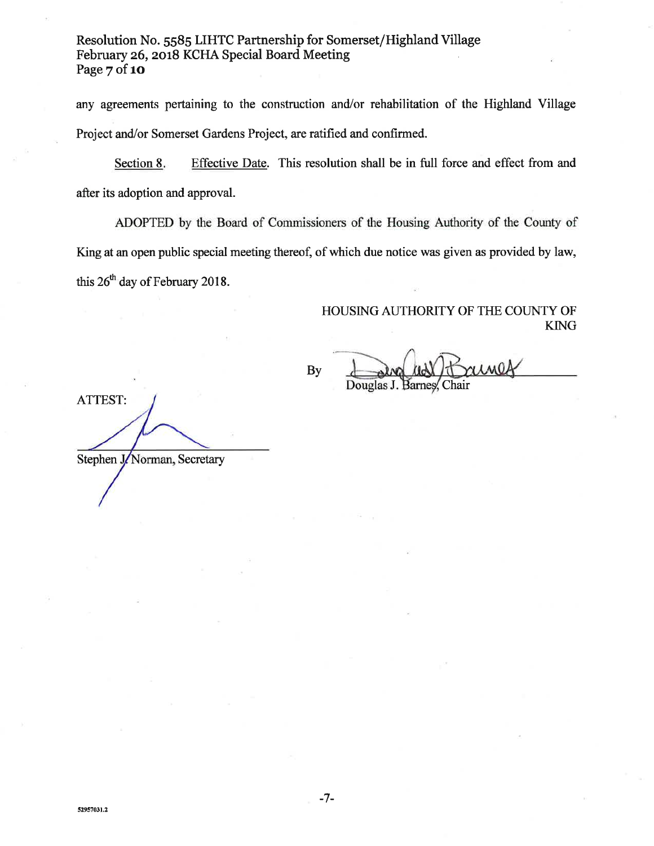Resolution No. 5585 LIHTC Partnership for Somerset/Highland Village February 26, 2018 KCHA Special Board Meeting Page  $7$  of  $10$ 

any agreements pertaining to the construction and/or rehabilitation of the Highland Village Project and/or Somerset Gardens Project, are ratified and confirmed.

Effective Date. This resolution shall be in full force and effect from and Section 8. after its adoption and approval.

ADOPTED by the Board of Commissioners of the Housing Authority of the County of King at an open public special meeting thereof, of which due notice was given as provided by law, this 26<sup>th</sup> day of February 2018.

### HOUSING AUTHORITY OF THE COUNTY OF **KING**

**By** 

Douglas J. Barnes. Chair

ATTEST: Stephen J/Norman, Secretary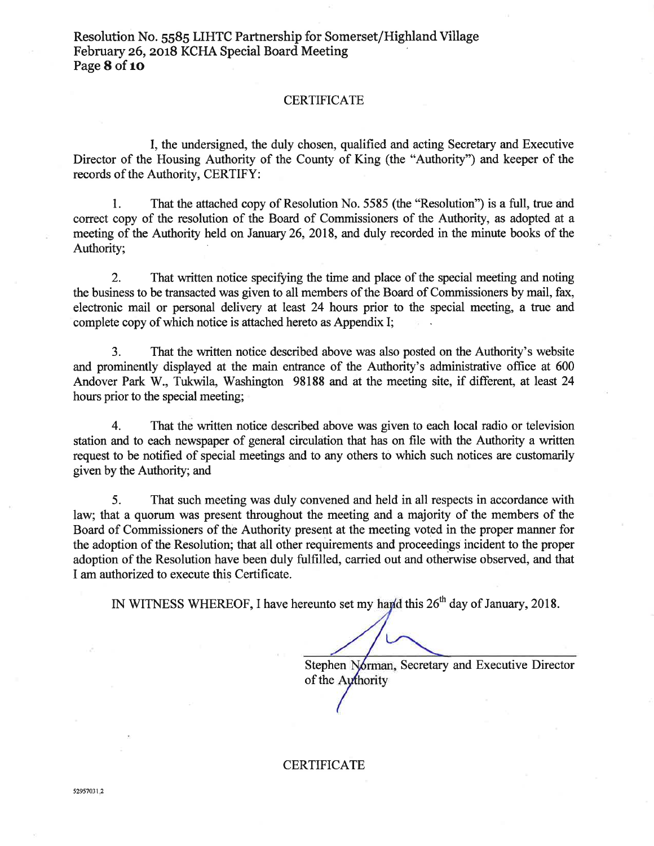### **CERTIFICATE**

I, the undersigned, the duly chosen, qualified and acting Secretary and Executive Director of the Housing Authority of the County of King (the "Authority") and keeper of the records of the Authority, CERTIFY:

That the attached copy of Resolution No. 5585 (the "Resolution") is a full, true and  $\mathbf{1}$ . correct copy of the resolution of the Board of Commissioners of the Authority, as adopted at a meeting of the Authority held on January 26, 2018, and duly recorded in the minute books of the Authority:

 $2.$ That written notice specifying the time and place of the special meeting and noting the business to be transacted was given to all members of the Board of Commissioners by mail, fax, electronic mail or personal delivery at least 24 hours prior to the special meeting, a true and complete copy of which notice is attached hereto as Appendix I;

That the written notice described above was also posted on the Authority's website  $3<sub>1</sub>$ and prominently displayed at the main entrance of the Authority's administrative office at 600 Andover Park W., Tukwila, Washington 98188 and at the meeting site, if different, at least 24 hours prior to the special meeting:

 $\overline{4}$ . That the written notice described above was given to each local radio or television station and to each newspaper of general circulation that has on file with the Authority a written request to be notified of special meetings and to any others to which such notices are customarily given by the Authority; and

That such meeting was duly convened and held in all respects in accordance with 5. law; that a quorum was present throughout the meeting and a majority of the members of the Board of Commissioners of the Authority present at the meeting voted in the proper manner for the adoption of the Resolution; that all other requirements and proceedings incident to the proper adoption of the Resolution have been duly fulfilled, carried out and otherwise observed, and that I am authorized to execute this Certificate.

IN WITNESS WHEREOF, I have hereunto set my hand this 26<sup>th</sup> day of January, 2018.

Stephen Norman, Secretary and Executive Director of the Authority

**CERTIFICATE**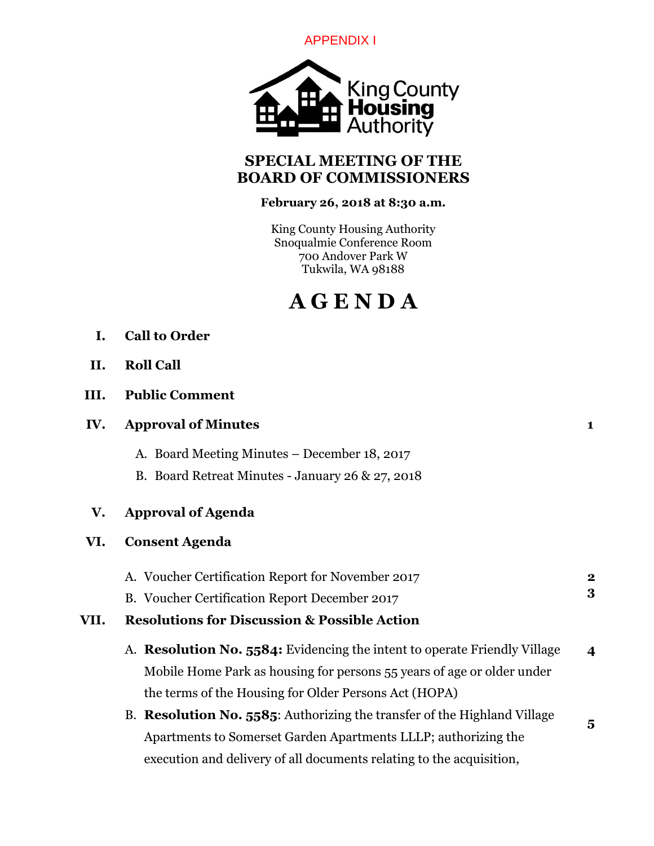APPENDIX I



# **SPECIAL MEETING OF THE BOARD OF COMMISSIONERS**

### **February 26, 2018 at 8:30 a.m.**

King County Housing Authority Snoqualmie Conference Room 700 Andover Park W Tukwila, WA 98188

# **A G E N D A**

**1**

| I. | <b>Call to Order</b> |
|----|----------------------|
|----|----------------------|

- **II. Roll Call**
- **III. Public Comment**

### **IV. Approval of Minutes**

- A. Board Meeting Minutes December 18, 2017
- B. Board Retreat Minutes January 26 & 27, 2018

# **V. Approval of Agenda**

### **VI. Consent Agenda**

|                                                                 | A. Voucher Certification Report for November 2017                         | $\mathbf{2}$ |
|-----------------------------------------------------------------|---------------------------------------------------------------------------|--------------|
|                                                                 | B. Voucher Certification Report December 2017                             | 3            |
| <b>Resolutions for Discussion &amp; Possible Action</b><br>VII. |                                                                           |              |
|                                                                 | A. Resolution No. 5584: Evidencing the intent to operate Friendly Village | 4            |
|                                                                 | Mobile Home Park as housing for persons 55 years of age or older under    |              |
|                                                                 | the terms of the Housing for Older Persons Act (HOPA)                     |              |
|                                                                 | B. Resolution No. 5585: Authorizing the transfer of the Highland Village  | 5            |
|                                                                 | Apartments to Somerset Garden Apartments LLLP; authorizing the            |              |
|                                                                 | execution and delivery of all documents relating to the acquisition,      |              |